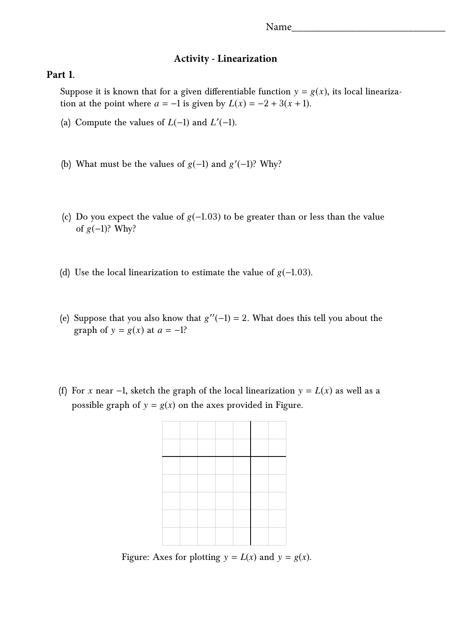## **Activity - Linearization**

## **Part 1.**

Suppose it is known that for a given differentiable function  $y = g(x)$ , its local linearization at the point where  $a = -1$  is given by  $L(x) = -2 + 3(x + 1)$ .

- (a) Compute the values of  $L(-1)$  and  $L'(-1)$ .
- (b) What must be the values of  $g(-1)$  and  $g'(-1)$ ? Why?
- (c) Do you expect the value of  $g(-1.03)$  to be greater than or less than the value of  $g(-1)$ ? Why?
- (d) Use the local linearization to estimate the value of  $g(-1.03)$ .
- (e) Suppose that you also know that  $g''(-1) = 2$ . What does this tell you about the graph of  $y = g(x)$  at  $g = -1$ ? graph of  $y = g(x)$  at  $a = -1$ ?
- (f) For *x* near -1, sketch the graph of the local linearization  $y = L(x)$  as well as a possible graph of  $y = g(x)$  on the axes provided in Figure.



Figure: Axes for plotting  $y = L(x)$  and  $y = g(x)$ .